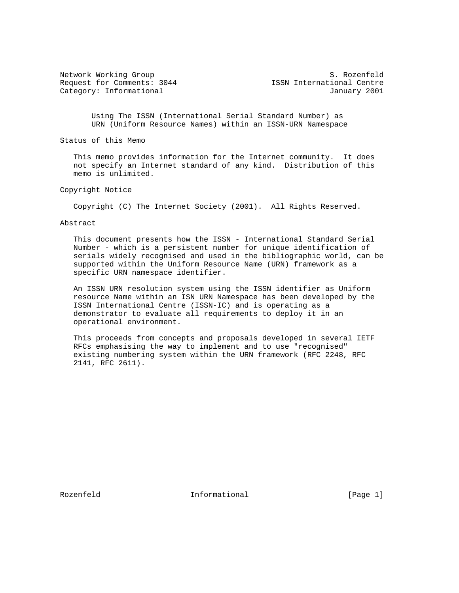Request for Comments: 3044 ISSN International Centre

Network Working Group S. Rozenfeld Category: Informational and Category: Informational and January 2001

 Using The ISSN (International Serial Standard Number) as URN (Uniform Resource Names) within an ISSN-URN Namespace

Status of this Memo

 This memo provides information for the Internet community. It does not specify an Internet standard of any kind. Distribution of this memo is unlimited.

Copyright Notice

Copyright (C) The Internet Society (2001). All Rights Reserved.

Abstract

 This document presents how the ISSN - International Standard Serial Number - which is a persistent number for unique identification of serials widely recognised and used in the bibliographic world, can be supported within the Uniform Resource Name (URN) framework as a specific URN namespace identifier.

 An ISSN URN resolution system using the ISSN identifier as Uniform resource Name within an ISN URN Namespace has been developed by the ISSN International Centre (ISSN-IC) and is operating as a demonstrator to evaluate all requirements to deploy it in an operational environment.

 This proceeds from concepts and proposals developed in several IETF RFCs emphasising the way to implement and to use "recognised" existing numbering system within the URN framework (RFC 2248, RFC 2141, RFC 2611).

Rozenfeld **Informational** Informational [Page 1]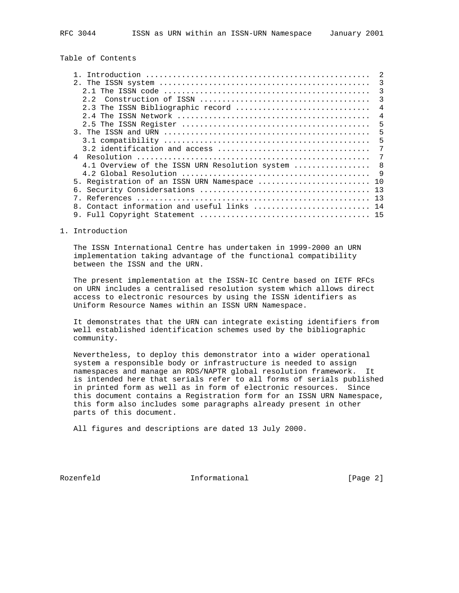Table of Contents

|    | 3                                                   |
|----|-----------------------------------------------------|
|    | 3                                                   |
|    | 3                                                   |
|    | 2.3 The ISSN Bibliographic record<br>$\overline{4}$ |
|    | 4                                                   |
|    | 5                                                   |
|    | 5                                                   |
|    | 5                                                   |
|    | 7                                                   |
|    | 7                                                   |
|    | 8<br>4.1 Overview of the ISSN URN Resolution system |
|    | 9                                                   |
|    | 5. Registration of an ISSN URN Namespace<br>10      |
| б. | 13                                                  |
|    | 13                                                  |
|    |                                                     |
|    |                                                     |

### 1. Introduction

 The ISSN International Centre has undertaken in 1999-2000 an URN implementation taking advantage of the functional compatibility between the ISSN and the URN.

 The present implementation at the ISSN-IC Centre based on IETF RFCs on URN includes a centralised resolution system which allows direct access to electronic resources by using the ISSN identifiers as Uniform Resource Names within an ISSN URN Namespace.

 It demonstrates that the URN can integrate existing identifiers from well established identification schemes used by the bibliographic community.

 Nevertheless, to deploy this demonstrator into a wider operational system a responsible body or infrastructure is needed to assign namespaces and manage an RDS/NAPTR global resolution framework. It is intended here that serials refer to all forms of serials published in printed form as well as in form of electronic resources. Since this document contains a Registration form for an ISSN URN Namespace, this form also includes some paragraphs already present in other parts of this document.

All figures and descriptions are dated 13 July 2000.

Rozenfeld **Informational** Informational [Page 2]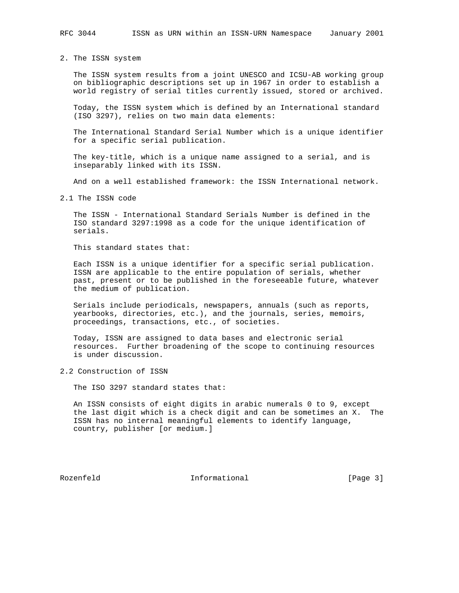2. The ISSN system

 The ISSN system results from a joint UNESCO and ICSU-AB working group on bibliographic descriptions set up in 1967 in order to establish a world registry of serial titles currently issued, stored or archived.

 Today, the ISSN system which is defined by an International standard (ISO 3297), relies on two main data elements:

 The International Standard Serial Number which is a unique identifier for a specific serial publication.

 The key-title, which is a unique name assigned to a serial, and is inseparably linked with its ISSN.

And on a well established framework: the ISSN International network.

2.1 The ISSN code

 The ISSN - International Standard Serials Number is defined in the ISO standard 3297:1998 as a code for the unique identification of serials.

This standard states that:

 Each ISSN is a unique identifier for a specific serial publication. ISSN are applicable to the entire population of serials, whether past, present or to be published in the foreseeable future, whatever the medium of publication.

 Serials include periodicals, newspapers, annuals (such as reports, yearbooks, directories, etc.), and the journals, series, memoirs, proceedings, transactions, etc., of societies.

 Today, ISSN are assigned to data bases and electronic serial resources. Further broadening of the scope to continuing resources is under discussion.

2.2 Construction of ISSN

The ISO 3297 standard states that:

 An ISSN consists of eight digits in arabic numerals 0 to 9, except the last digit which is a check digit and can be sometimes an X. The ISSN has no internal meaningful elements to identify language, country, publisher [or medium.]

Rozenfeld **Informational** Informational [Page 3]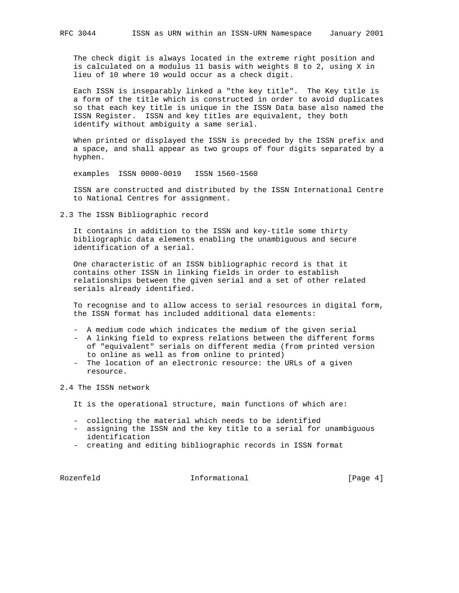The check digit is always located in the extreme right position and is calculated on a modulus 11 basis with weights 8 to 2, using X in lieu of 10 where 10 would occur as a check digit.

 Each ISSN is inseparably linked a "the key title". The Key title is a form of the title which is constructed in order to avoid duplicates so that each key title is unique in the ISSN Data base also named the ISSN Register. ISSN and key titles are equivalent, they both identify without ambiguity a same serial.

 When printed or displayed the ISSN is preceded by the ISSN prefix and a space, and shall appear as two groups of four digits separated by a hyphen.

examples ISSN 0000-0019 ISSN 1560-1560

 ISSN are constructed and distributed by the ISSN International Centre to National Centres for assignment.

2.3 The ISSN Bibliographic record

 It contains in addition to the ISSN and key-title some thirty bibliographic data elements enabling the unambiguous and secure identification of a serial.

 One characteristic of an ISSN bibliographic record is that it contains other ISSN in linking fields in order to establish relationships between the given serial and a set of other related serials already identified.

 To recognise and to allow access to serial resources in digital form, the ISSN format has included additional data elements:

- A medium code which indicates the medium of the given serial
- A linking field to express relations between the different forms of "equivalent" serials on different media (from printed version to online as well as from online to printed)
- The location of an electronic resource: the URLs of a given resource.
- 2.4 The ISSN network
	- It is the operational structure, main functions of which are:
	- collecting the material which needs to be identified
	- assigning the ISSN and the key title to a serial for unambiguous identification
	- creating and editing bibliographic records in ISSN format

Rozenfeld **Informational** Informational [Page 4]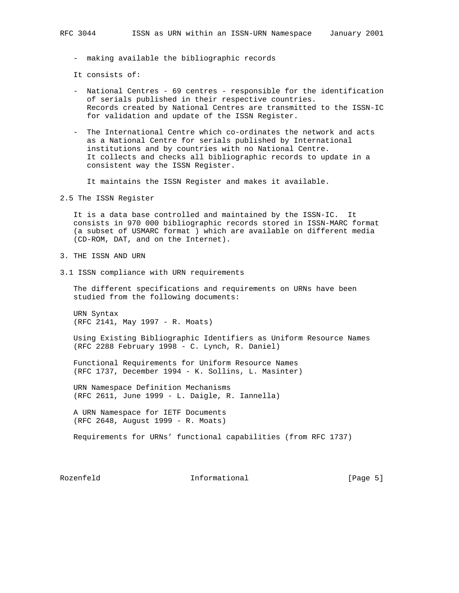- making available the bibliographic records

It consists of:

- National Centres 69 centres responsible for the identification of serials published in their respective countries. Records created by National Centres are transmitted to the ISSN-IC for validation and update of the ISSN Register.
- The International Centre which co-ordinates the network and acts as a National Centre for serials published by International institutions and by countries with no National Centre. It collects and checks all bibliographic records to update in a consistent way the ISSN Register.

It maintains the ISSN Register and makes it available.

2.5 The ISSN Register

 It is a data base controlled and maintained by the ISSN-IC. It consists in 970 000 bibliographic records stored in ISSN-MARC format (a subset of USMARC format ) which are available on different media (CD-ROM, DAT, and on the Internet).

- 3. THE ISSN AND URN
- 3.1 ISSN compliance with URN requirements

 The different specifications and requirements on URNs have been studied from the following documents:

 URN Syntax (RFC 2141, May 1997 - R. Moats)

 Using Existing Bibliographic Identifiers as Uniform Resource Names (RFC 2288 February 1998 - C. Lynch, R. Daniel)

 Functional Requirements for Uniform Resource Names (RFC 1737, December 1994 - K. Sollins, L. Masinter)

 URN Namespace Definition Mechanisms (RFC 2611, June 1999 - L. Daigle, R. Iannella)

 A URN Namespace for IETF Documents (RFC 2648, August 1999 - R. Moats)

Requirements for URNs' functional capabilities (from RFC 1737)

Rozenfeld **Informational** Informational [Page 5]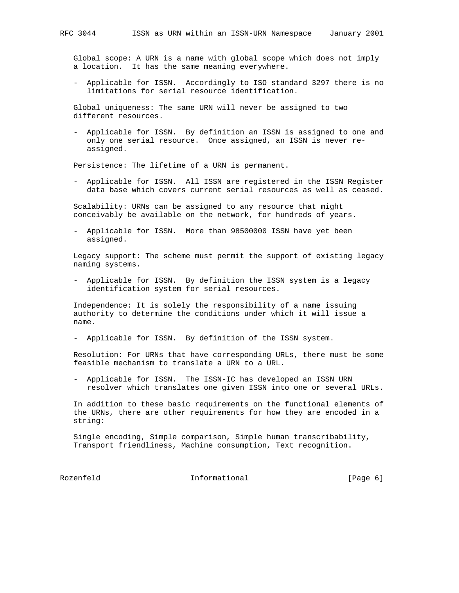Global scope: A URN is a name with global scope which does not imply a location. It has the same meaning everywhere.

 - Applicable for ISSN. Accordingly to ISO standard 3297 there is no limitations for serial resource identification.

 Global uniqueness: The same URN will never be assigned to two different resources.

 - Applicable for ISSN. By definition an ISSN is assigned to one and only one serial resource. Once assigned, an ISSN is never re assigned.

Persistence: The lifetime of a URN is permanent.

 - Applicable for ISSN. All ISSN are registered in the ISSN Register data base which covers current serial resources as well as ceased.

 Scalability: URNs can be assigned to any resource that might conceivably be available on the network, for hundreds of years.

 - Applicable for ISSN. More than 98500000 ISSN have yet been assigned.

 Legacy support: The scheme must permit the support of existing legacy naming systems.

 - Applicable for ISSN. By definition the ISSN system is a legacy identification system for serial resources.

 Independence: It is solely the responsibility of a name issuing authority to determine the conditions under which it will issue a name.

- Applicable for ISSN. By definition of the ISSN system.

 Resolution: For URNs that have corresponding URLs, there must be some feasible mechanism to translate a URN to a URL.

 - Applicable for ISSN. The ISSN-IC has developed an ISSN URN resolver which translates one given ISSN into one or several URLs.

 In addition to these basic requirements on the functional elements of the URNs, there are other requirements for how they are encoded in a string:

 Single encoding, Simple comparison, Simple human transcribability, Transport friendliness, Machine consumption, Text recognition.

Rozenfeld **Informational** Informational [Page 6]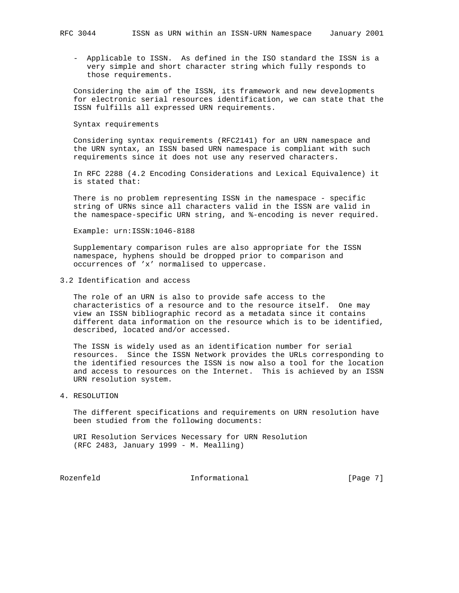- Applicable to ISSN. As defined in the ISO standard the ISSN is a very simple and short character string which fully responds to those requirements.

 Considering the aim of the ISSN, its framework and new developments for electronic serial resources identification, we can state that the ISSN fulfills all expressed URN requirements.

#### Syntax requirements

 Considering syntax requirements (RFC2141) for an URN namespace and the URN syntax, an ISSN based URN namespace is compliant with such requirements since it does not use any reserved characters.

 In RFC 2288 (4.2 Encoding Considerations and Lexical Equivalence) it is stated that:

 There is no problem representing ISSN in the namespace - specific string of URNs since all characters valid in the ISSN are valid in the namespace-specific URN string, and %-encoding is never required.

Example: urn:ISSN:1046-8188

 Supplementary comparison rules are also appropriate for the ISSN namespace, hyphens should be dropped prior to comparison and occurrences of 'x' normalised to uppercase.

## 3.2 Identification and access

 The role of an URN is also to provide safe access to the characteristics of a resource and to the resource itself. One may view an ISSN bibliographic record as a metadata since it contains different data information on the resource which is to be identified, described, located and/or accessed.

 The ISSN is widely used as an identification number for serial resources. Since the ISSN Network provides the URLs corresponding to the identified resources the ISSN is now also a tool for the location and access to resources on the Internet. This is achieved by an ISSN URN resolution system.

### 4. RESOLUTION

 The different specifications and requirements on URN resolution have been studied from the following documents:

 URI Resolution Services Necessary for URN Resolution (RFC 2483, January 1999 - M. Mealling)

Rozenfeld Informational [Page 7]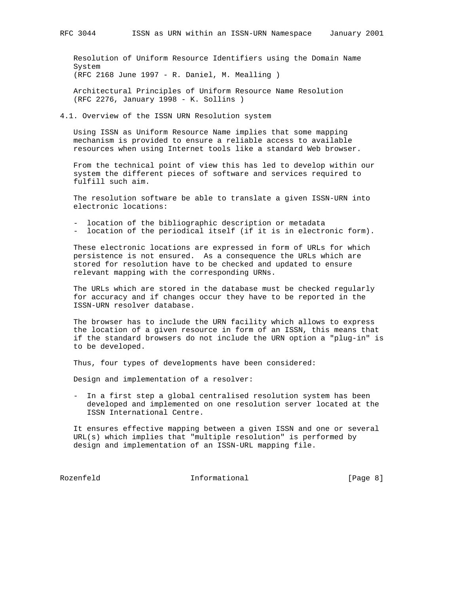Resolution of Uniform Resource Identifiers using the Domain Name

 System (RFC 2168 June 1997 - R. Daniel, M. Mealling )

 Architectural Principles of Uniform Resource Name Resolution (RFC 2276, January 1998 - K. Sollins )

4.1. Overview of the ISSN URN Resolution system

 Using ISSN as Uniform Resource Name implies that some mapping mechanism is provided to ensure a reliable access to available resources when using Internet tools like a standard Web browser.

 From the technical point of view this has led to develop within our system the different pieces of software and services required to fulfill such aim.

 The resolution software be able to translate a given ISSN-URN into electronic locations:

- location of the bibliographic description or metadata
- location of the periodical itself (if it is in electronic form).

 These electronic locations are expressed in form of URLs for which persistence is not ensured. As a consequence the URLs which are stored for resolution have to be checked and updated to ensure relevant mapping with the corresponding URNs.

 The URLs which are stored in the database must be checked regularly for accuracy and if changes occur they have to be reported in the ISSN-URN resolver database.

 The browser has to include the URN facility which allows to express the location of a given resource in form of an ISSN, this means that if the standard browsers do not include the URN option a "plug-in" is to be developed.

Thus, four types of developments have been considered:

Design and implementation of a resolver:

 - In a first step a global centralised resolution system has been developed and implemented on one resolution server located at the ISSN International Centre.

 It ensures effective mapping between a given ISSN and one or several URL(s) which implies that "multiple resolution" is performed by design and implementation of an ISSN-URL mapping file.

Rozenfeld Informational [Page 8]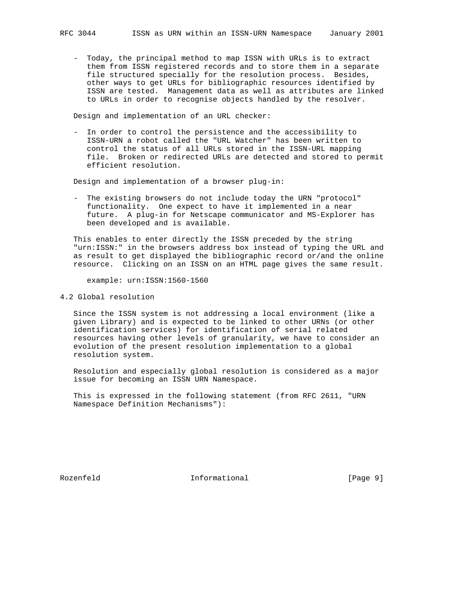- Today, the principal method to map ISSN with URLs is to extract them from ISSN registered records and to store them in a separate file structured specially for the resolution process. Besides, other ways to get URLs for bibliographic resources identified by ISSN are tested. Management data as well as attributes are linked to URLs in order to recognise objects handled by the resolver.

Design and implementation of an URL checker:

 - In order to control the persistence and the accessibility to ISSN-URN a robot called the "URL Watcher" has been written to control the status of all URLs stored in the ISSN-URL mapping file. Broken or redirected URLs are detected and stored to permit efficient resolution.

Design and implementation of a browser plug-in:

 - The existing browsers do not include today the URN "protocol" functionality. One expect to have it implemented in a near future. A plug-in for Netscape communicator and MS-Explorer has been developed and is available.

 This enables to enter directly the ISSN preceded by the string "urn:ISSN:" in the browsers address box instead of typing the URL and as result to get displayed the bibliographic record or/and the online resource. Clicking on an ISSN on an HTML page gives the same result.

example: urn:ISSN:1560-1560

4.2 Global resolution

 Since the ISSN system is not addressing a local environment (like a given Library) and is expected to be linked to other URNs (or other identification services) for identification of serial related resources having other levels of granularity, we have to consider an evolution of the present resolution implementation to a global resolution system.

 Resolution and especially global resolution is considered as a major issue for becoming an ISSN URN Namespace.

 This is expressed in the following statement (from RFC 2611, "URN Namespace Definition Mechanisms"):

Rozenfeld **Informational** Informational [Page 9]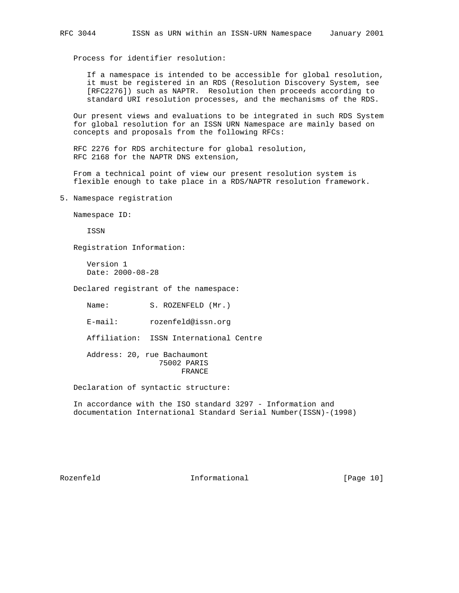Process for identifier resolution:

 If a namespace is intended to be accessible for global resolution, it must be registered in an RDS (Resolution Discovery System, see [RFC2276]) such as NAPTR. Resolution then proceeds according to standard URI resolution processes, and the mechanisms of the RDS.

 Our present views and evaluations to be integrated in such RDS System for global resolution for an ISSN URN Namespace are mainly based on concepts and proposals from the following RFCs:

 RFC 2276 for RDS architecture for global resolution, RFC 2168 for the NAPTR DNS extension,

 From a technical point of view our present resolution system is flexible enough to take place in a RDS/NAPTR resolution framework.

5. Namespace registration

Namespace ID:

ISSN

Registration Information:

 Version 1 Date: 2000-08-28

Declared registrant of the namespace:

Name: S. ROZENFELD (Mr.)

E-mail: rozenfeld@issn.org

Affiliation: ISSN International Centre

 Address: 20, rue Bachaumont 75002 PARIS FRANCE

Declaration of syntactic structure:

 In accordance with the ISO standard 3297 - Information and documentation International Standard Serial Number(ISSN)-(1998)

Rozenfeld **Informational** [Page 10]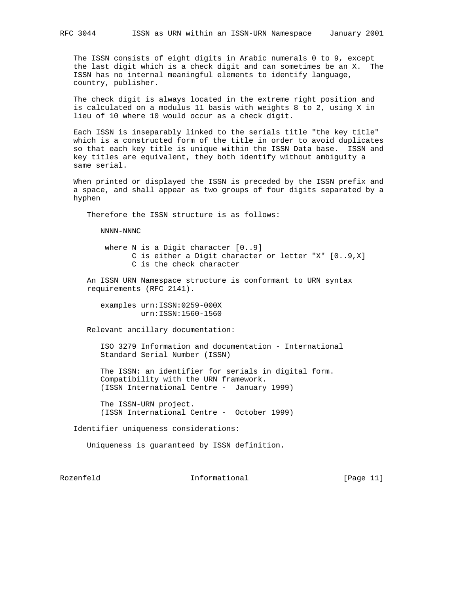The ISSN consists of eight digits in Arabic numerals 0 to 9, except the last digit which is a check digit and can sometimes be an X. The ISSN has no internal meaningful elements to identify language, country, publisher.

 The check digit is always located in the extreme right position and is calculated on a modulus 11 basis with weights 8 to 2, using X in lieu of 10 where 10 would occur as a check digit.

 Each ISSN is inseparably linked to the serials title "the key title" which is a constructed form of the title in order to avoid duplicates so that each key title is unique within the ISSN Data base. ISSN and key titles are equivalent, they both identify without ambiguity a same serial.

 When printed or displayed the ISSN is preceded by the ISSN prefix and a space, and shall appear as two groups of four digits separated by a hyphen

Therefore the ISSN structure is as follows:

NNNN-NNNC

 where N is a Digit character [0..9] C is either a Digit character or letter "X" [0..9,X] C is the check character

 An ISSN URN Namespace structure is conformant to URN syntax requirements (RFC 2141).

 examples urn:ISSN:0259-000X urn:ISSN:1560-1560

Relevant ancillary documentation:

 ISO 3279 Information and documentation - International Standard Serial Number (ISSN)

 The ISSN: an identifier for serials in digital form. Compatibility with the URN framework. (ISSN International Centre - January 1999)

 The ISSN-URN project. (ISSN International Centre - October 1999)

Identifier uniqueness considerations:

Uniqueness is guaranteed by ISSN definition.

Rozenfeld **Informational** Informational [Page 11]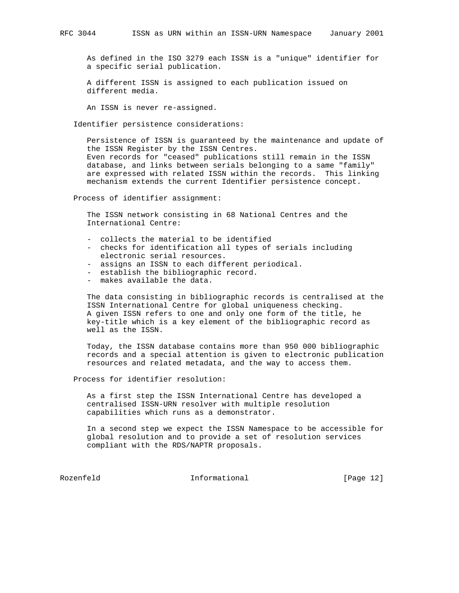As defined in the ISO 3279 each ISSN is a "unique" identifier for a specific serial publication.

 A different ISSN is assigned to each publication issued on different media.

An ISSN is never re-assigned.

Identifier persistence considerations:

 Persistence of ISSN is guaranteed by the maintenance and update of the ISSN Register by the ISSN Centres. Even records for "ceased" publications still remain in the ISSN database, and links between serials belonging to a same "family" are expressed with related ISSN within the records. This linking mechanism extends the current Identifier persistence concept.

Process of identifier assignment:

 The ISSN network consisting in 68 National Centres and the International Centre:

- collects the material to be identified
- checks for identification all types of serials including electronic serial resources.
- assigns an ISSN to each different periodical.
- establish the bibliographic record.
- makes available the data.

 The data consisting in bibliographic records is centralised at the ISSN International Centre for global uniqueness checking. A given ISSN refers to one and only one form of the title, he key-title which is a key element of the bibliographic record as well as the ISSN.

 Today, the ISSN database contains more than 950 000 bibliographic records and a special attention is given to electronic publication resources and related metadata, and the way to access them.

Process for identifier resolution:

 As a first step the ISSN International Centre has developed a centralised ISSN-URN resolver with multiple resolution capabilities which runs as a demonstrator.

 In a second step we expect the ISSN Namespace to be accessible for global resolution and to provide a set of resolution services compliant with the RDS/NAPTR proposals.

Rozenfeld **Informational** Informational [Page 12]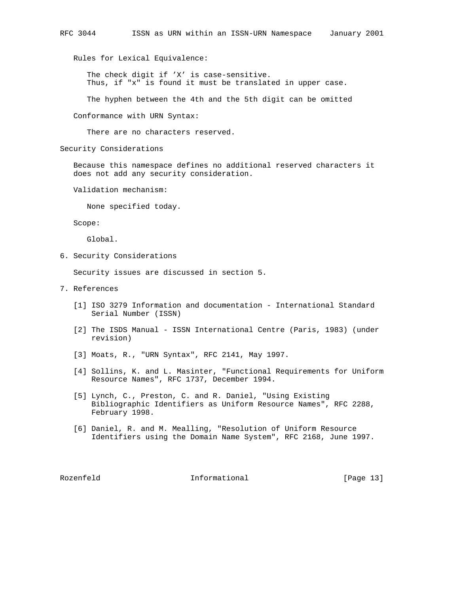Rules for Lexical Equivalence:

 The check digit if 'X' is case-sensitive. Thus, if "x" is found it must be translated in upper case.

The hyphen between the 4th and the 5th digit can be omitted

Conformance with URN Syntax:

There are no characters reserved.

Security Considerations

 Because this namespace defines no additional reserved characters it does not add any security consideration.

Validation mechanism:

None specified today.

Scope:

Global.

6. Security Considerations

Security issues are discussed in section 5.

- 7. References
	- [1] ISO 3279 Information and documentation International Standard Serial Number (ISSN)
	- [2] The ISDS Manual ISSN International Centre (Paris, 1983) (under revision)
	- [3] Moats, R., "URN Syntax", RFC 2141, May 1997.
	- [4] Sollins, K. and L. Masinter, "Functional Requirements for Uniform Resource Names", RFC 1737, December 1994.
	- [5] Lynch, C., Preston, C. and R. Daniel, "Using Existing Bibliographic Identifiers as Uniform Resource Names", RFC 2288, February 1998.
	- [6] Daniel, R. and M. Mealling, "Resolution of Uniform Resource Identifiers using the Domain Name System", RFC 2168, June 1997.

Rozenfeld **Informational Informational** [Page 13]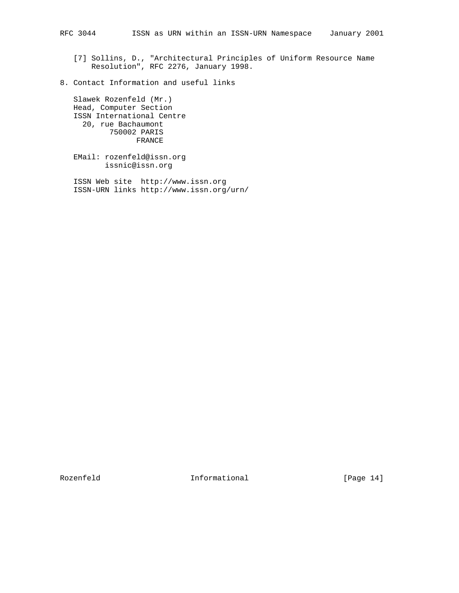[7] Sollins, D., "Architectural Principles of Uniform Resource Name Resolution", RFC 2276, January 1998.

8. Contact Information and useful links

 Slawek Rozenfeld (Mr.) Head, Computer Section ISSN International Centre 20, rue Bachaumont 750002 PARIS FRANCE

 EMail: rozenfeld@issn.org issnic@issn.org

 ISSN Web site http://www.issn.org ISSN-URN links http://www.issn.org/urn/

Rozenfeld Informational [Page 14]